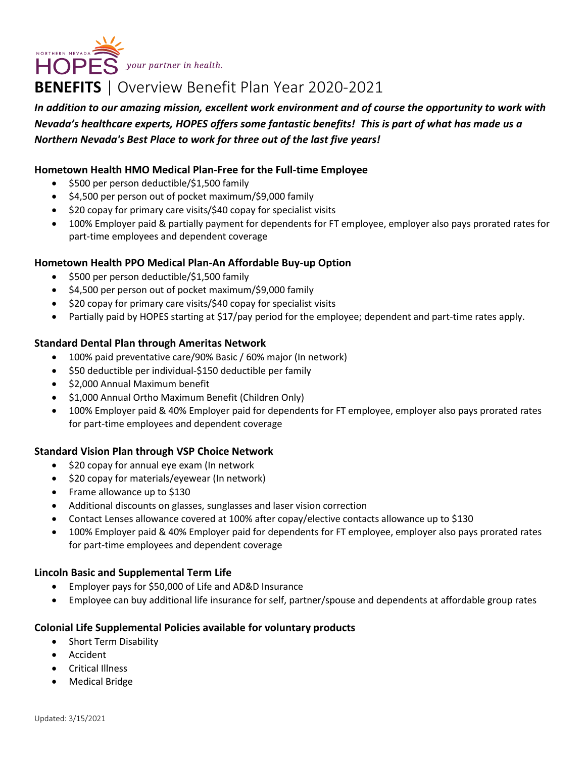NORTHERN NEVADA **SAN SERVER SOMETIME DESCRIPTION OF SAN SERVER SOMETIME DE REGISTER** 

# **BENEFITS** | Overview Benefit Plan Year 2020-2021

*In addition to our amazing mission, excellent work environment and of course the opportunity to work with Nevada's healthcare experts, HOPES offers some fantastic benefits! This is part of what has made us a Northern Nevada's Best Place to work for three out of the last five years!*

## **Hometown Health HMO Medical Plan-Free for the Full-time Employee**

- \$500 per person deductible/\$1,500 family
- \$4,500 per person out of pocket maximum/\$9,000 family
- \$20 copay for primary care visits/\$40 copay for specialist visits
- 100% Employer paid & partially payment for dependents for FT employee, employer also pays prorated rates for part-time employees and dependent coverage

### **Hometown Health PPO Medical Plan-An Affordable Buy-up Option**

- \$500 per person deductible/\$1,500 family
- \$4,500 per person out of pocket maximum/\$9,000 family
- \$20 copay for primary care visits/\$40 copay for specialist visits
- Partially paid by HOPES starting at \$17/pay period for the employee; dependent and part-time rates apply.

#### **Standard Dental Plan through Ameritas Network**

- 100% paid preventative care/90% Basic / 60% major (In network)
- \$50 deductible per individual-\$150 deductible per family
- \$2,000 Annual Maximum benefit
- \$1,000 Annual Ortho Maximum Benefit (Children Only)
- 100% Employer paid & 40% Employer paid for dependents for FT employee, employer also pays prorated rates for part-time employees and dependent coverage

### **Standard Vision Plan through VSP Choice Network**

- \$20 copay for annual eye exam (In network
- \$20 copay for materials/eyewear (In network)
- Frame allowance up to \$130
- Additional discounts on glasses, sunglasses and laser vision correction
- Contact Lenses allowance covered at 100% after copay/elective contacts allowance up to \$130
- 100% Employer paid & 40% Employer paid for dependents for FT employee, employer also pays prorated rates for part-time employees and dependent coverage

### **Lincoln Basic and Supplemental Term Life**

- Employer pays for \$50,000 of Life and AD&D Insurance
- Employee can buy additional life insurance for self, partner/spouse and dependents at affordable group rates

### **Colonial Life Supplemental Policies available for voluntary products**

- Short Term Disability
- Accident
- Critical Illness
- Medical Bridge